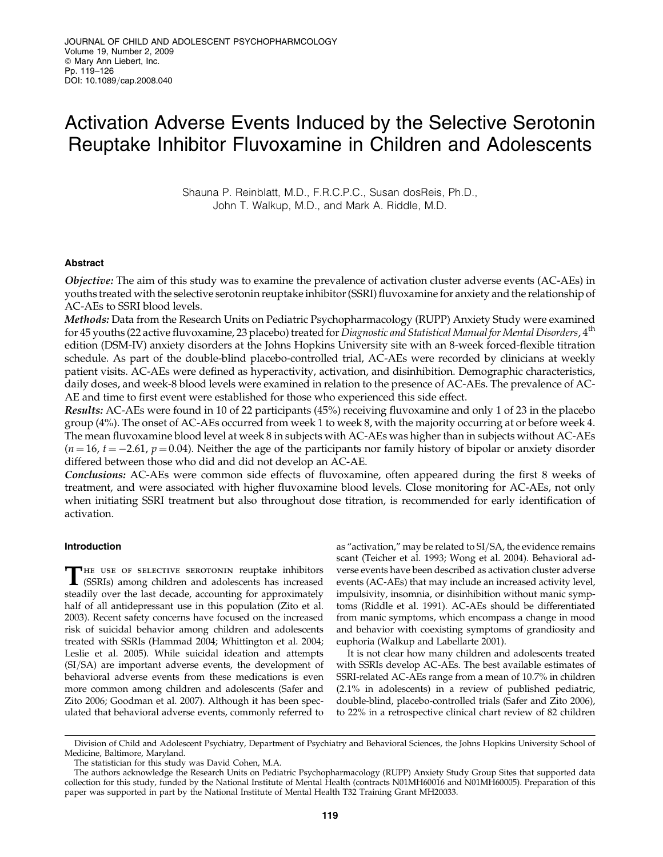# Activation Adverse Events Induced by the Selective Serotonin Reuptake Inhibitor Fluvoxamine in Children and Adolescents

Shauna P. Reinblatt, M.D., F.R.C.P.C., Susan dosReis, Ph.D., John T. Walkup, M.D., and Mark A. Riddle, M.D.

## Abstract

Objective: The aim of this study was to examine the prevalence of activation cluster adverse events (AC-AEs) in youths treated with the selective serotonin reuptake inhibitor (SSRI) fluvoxamine for anxiety and the relationship of AC-AEs to SSRI blood levels.

Methods: Data from the Research Units on Pediatric Psychopharmacology (RUPP) Anxiety Study were examined for 45 youths (22 active fluvoxamine, 23 placebo) treated for Diagnostic and Statistical Manual for Mental Disorders, 4<sup>th</sup> edition (DSM-IV) anxiety disorders at the Johns Hopkins University site with an 8-week forced-flexible titration schedule. As part of the double-blind placebo-controlled trial, AC-AEs were recorded by clinicians at weekly patient visits. AC-AEs were defined as hyperactivity, activation, and disinhibition. Demographic characteristics, daily doses, and week-8 blood levels were examined in relation to the presence of AC-AEs. The prevalence of AC-AE and time to first event were established for those who experienced this side effect.

Results: AC-AEs were found in 10 of 22 participants (45%) receiving fluvoxamine and only 1 of 23 in the placebo group (4%). The onset of AC-AEs occurred from week 1 to week 8, with the majority occurring at or before week 4. The mean fluvoxamine blood level at week 8 in subjects with AC-AEs was higher than in subjects without AC-AEs  $(n = 16, t = -2.61, p = 0.04)$ . Neither the age of the participants nor family history of bipolar or anxiety disorder differed between those who did and did not develop an AC-AE.

Conclusions: AC-AEs were common side effects of fluvoxamine, often appeared during the first 8 weeks of treatment, and were associated with higher fluvoxamine blood levels. Close monitoring for AC-AEs, not only when initiating SSRI treatment but also throughout dose titration, is recommended for early identification of activation.

# Introduction

The use of selective serotonin reuptake inhibitors (SSRIs) among children and adolescents has increased steadily over the last decade, accounting for approximately half of all antidepressant use in this population (Zito et al. 2003). Recent safety concerns have focused on the increased risk of suicidal behavior among children and adolescents treated with SSRIs (Hammad 2004; Whittington et al. 2004; Leslie et al. 2005). While suicidal ideation and attempts  $(SI/SA)$  are important adverse events, the development of behavioral adverse events from these medications is even more common among children and adolescents (Safer and Zito 2006; Goodman et al. 2007). Although it has been speculated that behavioral adverse events, commonly referred to as "activation," may be related to SI/SA, the evidence remains scant (Teicher et al. 1993; Wong et al. 2004). Behavioral adverse events have been described as activation cluster adverse events (AC-AEs) that may include an increased activity level, impulsivity, insomnia, or disinhibition without manic symptoms (Riddle et al. 1991). AC-AEs should be differentiated from manic symptoms, which encompass a change in mood and behavior with coexisting symptoms of grandiosity and euphoria (Walkup and Labellarte 2001).

It is not clear how many children and adolescents treated with SSRIs develop AC-AEs. The best available estimates of SSRI-related AC-AEs range from a mean of 10.7% in children (2.1% in adolescents) in a review of published pediatric, double-blind, placebo-controlled trials (Safer and Zito 2006), to 22% in a retrospective clinical chart review of 82 children

Division of Child and Adolescent Psychiatry, Department of Psychiatry and Behavioral Sciences, the Johns Hopkins University School of Medicine, Baltimore, Maryland.

The statistician for this study was David Cohen, M.A.

The authors acknowledge the Research Units on Pediatric Psychopharmacology (RUPP) Anxiety Study Group Sites that supported data collection for this study, funded by the National Institute of Mental Health (contracts N01MH60016 and N01MH60005). Preparation of this paper was supported in part by the National Institute of Mental Health T32 Training Grant MH20033.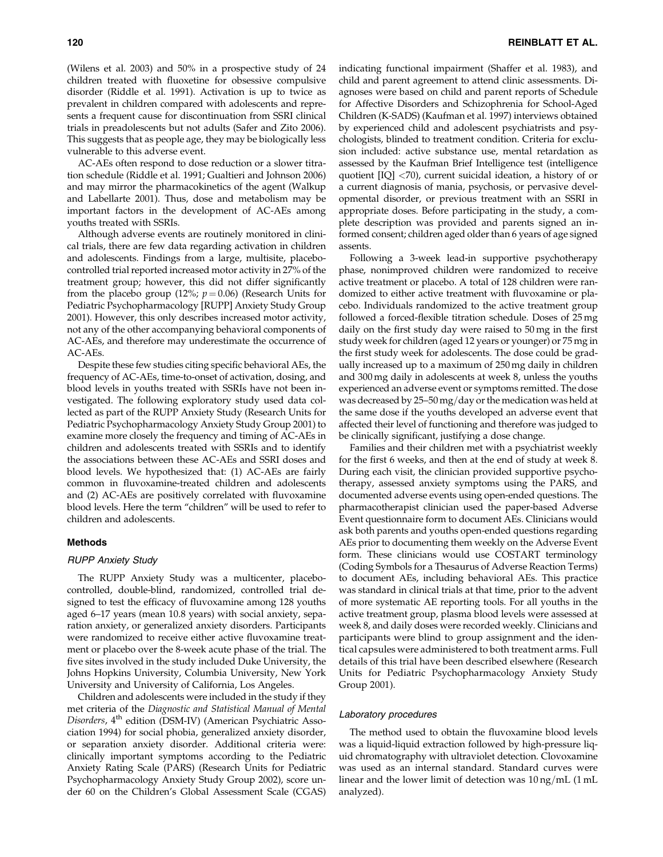(Wilens et al. 2003) and 50% in a prospective study of 24 children treated with fluoxetine for obsessive compulsive disorder (Riddle et al. 1991). Activation is up to twice as prevalent in children compared with adolescents and represents a frequent cause for discontinuation from SSRI clinical trials in preadolescents but not adults (Safer and Zito 2006). This suggests that as people age, they may be biologically less vulnerable to this adverse event.

AC-AEs often respond to dose reduction or a slower titration schedule (Riddle et al. 1991; Gualtieri and Johnson 2006) and may mirror the pharmacokinetics of the agent (Walkup and Labellarte 2001). Thus, dose and metabolism may be important factors in the development of AC-AEs among youths treated with SSRIs.

Although adverse events are routinely monitored in clinical trials, there are few data regarding activation in children and adolescents. Findings from a large, multisite, placebocontrolled trial reported increased motor activity in 27% of the treatment group; however, this did not differ significantly from the placebo group (12%;  $p = 0.06$ ) (Research Units for Pediatric Psychopharmacology [RUPP] Anxiety Study Group 2001). However, this only describes increased motor activity, not any of the other accompanying behavioral components of AC-AEs, and therefore may underestimate the occurrence of AC-AEs.

Despite these few studies citing specific behavioral AEs, the frequency of AC-AEs, time-to-onset of activation, dosing, and blood levels in youths treated with SSRIs have not been investigated. The following exploratory study used data collected as part of the RUPP Anxiety Study (Research Units for Pediatric Psychopharmacology Anxiety Study Group 2001) to examine more closely the frequency and timing of AC-AEs in children and adolescents treated with SSRIs and to identify the associations between these AC-AEs and SSRI doses and blood levels. We hypothesized that: (1) AC-AEs are fairly common in fluvoxamine-treated children and adolescents and (2) AC-AEs are positively correlated with fluvoxamine blood levels. Here the term ''children'' will be used to refer to children and adolescents.

## Methods

# RUPP Anxiety Study

The RUPP Anxiety Study was a multicenter, placebocontrolled, double-blind, randomized, controlled trial designed to test the efficacy of fluvoxamine among 128 youths aged 6–17 years (mean 10.8 years) with social anxiety, separation anxiety, or generalized anxiety disorders. Participants were randomized to receive either active fluvoxamine treatment or placebo over the 8-week acute phase of the trial. The five sites involved in the study included Duke University, the Johns Hopkins University, Columbia University, New York University and University of California, Los Angeles.

Children and adolescents were included in the study if they met criteria of the Diagnostic and Statistical Manual of Mental Disorders, 4<sup>th</sup> edition (DSM-IV) (American Psychiatric Association 1994) for social phobia, generalized anxiety disorder, or separation anxiety disorder. Additional criteria were: clinically important symptoms according to the Pediatric Anxiety Rating Scale (PARS) (Research Units for Pediatric Psychopharmacology Anxiety Study Group 2002), score under 60 on the Children's Global Assessment Scale (CGAS) indicating functional impairment (Shaffer et al. 1983), and child and parent agreement to attend clinic assessments. Diagnoses were based on child and parent reports of Schedule for Affective Disorders and Schizophrenia for School-Aged Children (K-SADS) (Kaufman et al. 1997) interviews obtained by experienced child and adolescent psychiatrists and psychologists, blinded to treatment condition. Criteria for exclusion included: active substance use, mental retardation as assessed by the Kaufman Brief Intelligence test (intelligence quotient [IQ] <70), current suicidal ideation, a history of or a current diagnosis of mania, psychosis, or pervasive developmental disorder, or previous treatment with an SSRI in appropriate doses. Before participating in the study, a complete description was provided and parents signed an informed consent; children aged older than 6 years of age signed assents.

Following a 3-week lead-in supportive psychotherapy phase, nonimproved children were randomized to receive active treatment or placebo. A total of 128 children were randomized to either active treatment with fluvoxamine or placebo. Individuals randomized to the active treatment group followed a forced-flexible titration schedule. Doses of 25 mg daily on the first study day were raised to 50 mg in the first study week for children (aged 12 years or younger) or 75 mg in the first study week for adolescents. The dose could be gradually increased up to a maximum of 250 mg daily in children and 300 mg daily in adolescents at week 8, unless the youths experienced an adverse event or symptoms remitted. The dose was decreased by  $25-50$  mg/day or the medication was held at the same dose if the youths developed an adverse event that affected their level of functioning and therefore was judged to be clinically significant, justifying a dose change.

Families and their children met with a psychiatrist weekly for the first 6 weeks, and then at the end of study at week 8. During each visit, the clinician provided supportive psychotherapy, assessed anxiety symptoms using the PARS, and documented adverse events using open-ended questions. The pharmacotherapist clinician used the paper-based Adverse Event questionnaire form to document AEs. Clinicians would ask both parents and youths open-ended questions regarding AEs prior to documenting them weekly on the Adverse Event form. These clinicians would use COSTART terminology (Coding Symbols for a Thesaurus of Adverse Reaction Terms) to document AEs, including behavioral AEs. This practice was standard in clinical trials at that time, prior to the advent of more systematic AE reporting tools. For all youths in the active treatment group, plasma blood levels were assessed at week 8, and daily doses were recorded weekly. Clinicians and participants were blind to group assignment and the identical capsules were administered to both treatment arms. Full details of this trial have been described elsewhere (Research Units for Pediatric Psychopharmacology Anxiety Study Group 2001).

#### Laboratory procedures

The method used to obtain the fluvoxamine blood levels was a liquid-liquid extraction followed by high-pressure liquid chromatography with ultraviolet detection. Clovoxamine was used as an internal standard. Standard curves were linear and the lower limit of detection was  $10 \text{ ng/mL}$  (1 mL analyzed).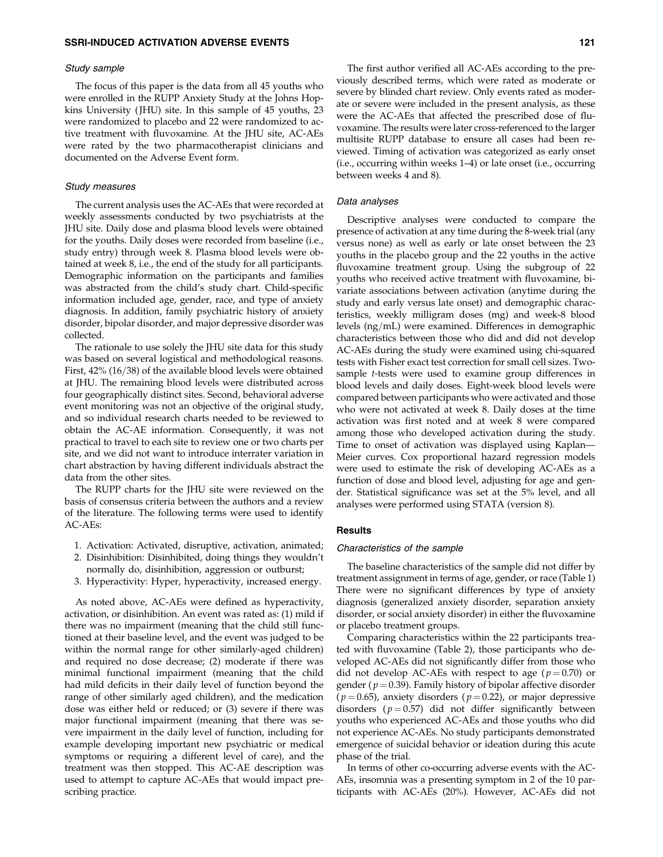## Study sample

The focus of this paper is the data from all 45 youths who were enrolled in the RUPP Anxiety Study at the Johns Hopkins University (JHU) site. In this sample of 45 youths, 23 were randomized to placebo and 22 were randomized to active treatment with fluvoxamine. At the JHU site, AC-AEs were rated by the two pharmacotherapist clinicians and documented on the Adverse Event form.

#### Study measures

The current analysis uses the AC-AEs that were recorded at weekly assessments conducted by two psychiatrists at the JHU site. Daily dose and plasma blood levels were obtained for the youths. Daily doses were recorded from baseline (i.e., study entry) through week 8. Plasma blood levels were obtained at week 8, i.e., the end of the study for all participants. Demographic information on the participants and families was abstracted from the child's study chart. Child-specific information included age, gender, race, and type of anxiety diagnosis. In addition, family psychiatric history of anxiety disorder, bipolar disorder, and major depressive disorder was collected.

The rationale to use solely the JHU site data for this study was based on several logistical and methodological reasons. First,  $42\%$  (16/38) of the available blood levels were obtained at JHU. The remaining blood levels were distributed across four geographically distinct sites. Second, behavioral adverse event monitoring was not an objective of the original study, and so individual research charts needed to be reviewed to obtain the AC-AE information. Consequently, it was not practical to travel to each site to review one or two charts per site, and we did not want to introduce interrater variation in chart abstraction by having different individuals abstract the data from the other sites.

The RUPP charts for the JHU site were reviewed on the basis of consensus criteria between the authors and a review of the literature. The following terms were used to identify AC-AEs:

- 1. Activation: Activated, disruptive, activation, animated;
- 2. Disinhibition: Disinhibited, doing things they wouldn't
- normally do, disinhibition, aggression or outburst;
- 3. Hyperactivity: Hyper, hyperactivity, increased energy.

As noted above, AC-AEs were defined as hyperactivity, activation, or disinhibition. An event was rated as: (1) mild if there was no impairment (meaning that the child still functioned at their baseline level, and the event was judged to be within the normal range for other similarly-aged children) and required no dose decrease; (2) moderate if there was minimal functional impairment (meaning that the child had mild deficits in their daily level of function beyond the range of other similarly aged children), and the medication dose was either held or reduced; or (3) severe if there was major functional impairment (meaning that there was severe impairment in the daily level of function, including for example developing important new psychiatric or medical symptoms or requiring a different level of care), and the treatment was then stopped. This AC-AE description was used to attempt to capture AC-AEs that would impact prescribing practice.

The first author verified all AC-AEs according to the previously described terms, which were rated as moderate or severe by blinded chart review. Only events rated as moderate or severe were included in the present analysis, as these were the AC-AEs that affected the prescribed dose of fluvoxamine. The results were later cross-referenced to the larger multisite RUPP database to ensure all cases had been reviewed. Timing of activation was categorized as early onset (i.e., occurring within weeks 1–4) or late onset (i.e., occurring between weeks 4 and 8).

## Data analyses

Descriptive analyses were conducted to compare the presence of activation at any time during the 8-week trial (any versus none) as well as early or late onset between the 23 youths in the placebo group and the 22 youths in the active fluvoxamine treatment group. Using the subgroup of 22 youths who received active treatment with fluvoxamine, bivariate associations between activation (anytime during the study and early versus late onset) and demographic characteristics, weekly milligram doses (mg) and week-8 blood levels (ng/mL) were examined. Differences in demographic characteristics between those who did and did not develop AC-AEs during the study were examined using chi-squared tests with Fisher exact test correction for small cell sizes. Twosample t-tests were used to examine group differences in blood levels and daily doses. Eight-week blood levels were compared between participants who were activated and those who were not activated at week 8. Daily doses at the time activation was first noted and at week 8 were compared among those who developed activation during the study. Time to onset of activation was displayed using Kaplan— Meier curves. Cox proportional hazard regression models were used to estimate the risk of developing AC-AEs as a function of dose and blood level, adjusting for age and gender. Statistical significance was set at the 5% level, and all analyses were performed using STATA (version 8).

## Results

#### Characteristics of the sample

The baseline characteristics of the sample did not differ by treatment assignment in terms of age, gender, or race (Table 1) There were no significant differences by type of anxiety diagnosis (generalized anxiety disorder, separation anxiety disorder, or social anxiety disorder) in either the fluvoxamine or placebo treatment groups.

Comparing characteristics within the 22 participants treated with fluvoxamine (Table 2), those participants who developed AC-AEs did not significantly differ from those who did not develop AC-AEs with respect to age ( $p = 0.70$ ) or gender ( $p = 0.39$ ). Family history of bipolar affective disorder  $(p=0.65)$ , anxiety disorders  $(p=0.22)$ , or major depressive disorders ( $p = 0.57$ ) did not differ significantly between youths who experienced AC-AEs and those youths who did not experience AC-AEs. No study participants demonstrated emergence of suicidal behavior or ideation during this acute phase of the trial.

In terms of other co-occurring adverse events with the AC-AEs, insomnia was a presenting symptom in 2 of the 10 participants with AC-AEs (20%). However, AC-AEs did not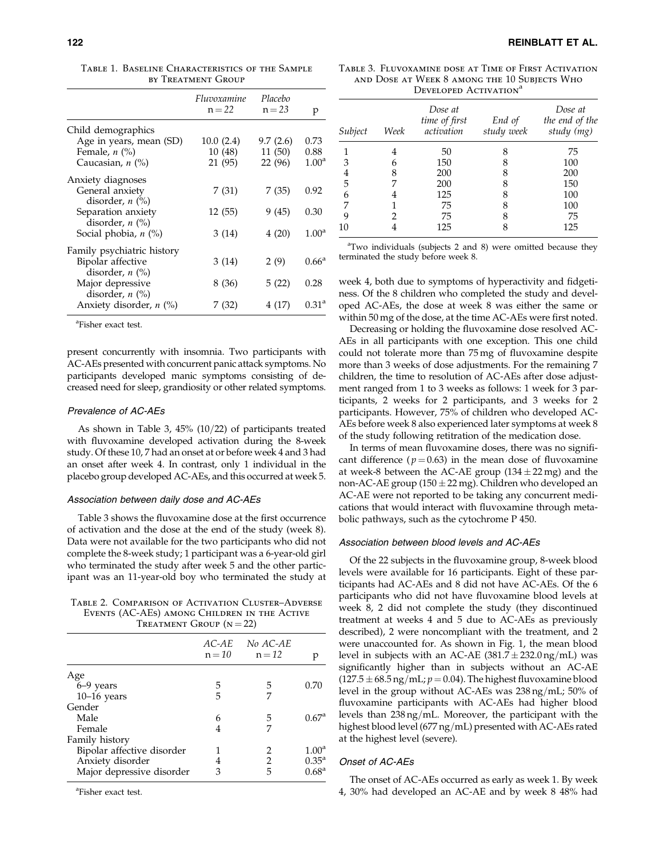|                                                        | Fluvoxamine<br>$n = 22$ | Placebo<br>$n = 23$ | p                 |
|--------------------------------------------------------|-------------------------|---------------------|-------------------|
| Child demographics                                     |                         |                     |                   |
| Age in years, mean (SD)                                | 10.0(2.4)               | 9.7(2.6)            | 0.73              |
| Female, $n$ $\left(\frac{9}{6}\right)$                 | 10 (48)                 | 11(50)              | 0.88              |
| Caucasian, $n$ $\left(\% \right)$                      | 21 (95)                 | 22 (96)             | 1.00 <sup>a</sup> |
| Anxiety diagnoses                                      |                         |                     |                   |
| General anxiety<br>disorder, $n$ (%)                   | 7 (31)                  | 7(35)               | 0.92              |
| Separation anxiety<br>disorder, $n$ $\left(\% \right)$ | 12 (55)                 | 9 (45)              | 0.30              |
| Social phobia, $n$ $(\%)$                              | 3(14)                   | 4(20)               | 1.00 <sup>a</sup> |
| Family psychiatric history                             |                         |                     |                   |
| Bipolar affective<br>disorder, $n$ (%)                 | 3(14)                   | 2(9)                | $0.66^{\rm a}$    |
| Major depressive<br>disorder, $n$ (%)                  | 8 (36)                  | 5(22)               | 0.28              |
| Anxiety disorder, $n$ (%)                              | 7 (32)                  | 4 (17)              | $0.31^{\circ}$    |

Table 1. Baseline Characteristics of the Sample by Treatment Group

a Fisher exact test.

present concurrently with insomnia. Two participants with AC-AEs presented with concurrent panic attack symptoms. No participants developed manic symptoms consisting of decreased need for sleep, grandiosity or other related symptoms.

## Prevalence of AC-AEs

As shown in Table 3,  $45\%$  (10/22) of participants treated with fluvoxamine developed activation during the 8-week study. Of these 10, 7 had an onset at or before week 4 and 3 had an onset after week 4. In contrast, only 1 individual in the placebo group developed AC-AEs, and this occurred at week 5.

## Association between daily dose and AC-AEs

Table 3 shows the fluvoxamine dose at the first occurrence of activation and the dose at the end of the study (week 8). Data were not available for the two participants who did not complete the 8-week study; 1 participant was a 6-year-old girl who terminated the study after week 5 and the other participant was an 11-year-old boy who terminated the study at

Table 2. Comparison of Activation Cluster–Adverse Events (AC-AEs) among Children in the Active TREATMENT GROUP  $(N = 22)$ 

|                            | $n = 10$ | AC-AE No AC-AE<br>$n = 12$ |                   |  |
|----------------------------|----------|----------------------------|-------------------|--|
| Age                        |          |                            |                   |  |
| 6-9 years                  | 5        | 5                          | 0.70              |  |
| $10-16$ years              | 5        |                            |                   |  |
| Gender                     |          |                            |                   |  |
| Male                       | 6        | 5                          | $0.67^{\rm a}$    |  |
| Female                     |          | 7                          |                   |  |
| Family history             |          |                            |                   |  |
| Bipolar affective disorder |          | 2                          | 1.00 <sup>a</sup> |  |
| Anxiety disorder           | 4        | 2                          | $0.35^{\rm a}$    |  |
| Major depressive disorder  | 3        | 5                          | 0.68 <sup>a</sup> |  |

a Fisher exact test.

| Table 3. Fluvoxamine dose at Time of First Activation |
|-------------------------------------------------------|
| AND DOSE AT WEEK 8 AMONG THE 10 SUBJECTS WHO          |
| DEVELOPED ACTIVATION <sup>a</sup>                     |

| Subject | Week | Dose at<br>time of first<br>activation | End of<br>study week | Dose at<br>the end of the<br>study (mg) |
|---------|------|----------------------------------------|----------------------|-----------------------------------------|
|         | 4    | 50                                     |                      | 75                                      |
| 3       | 6    | 150                                    | 8                    | 100                                     |
| 4       | 8    | 200                                    | 8                    | 200                                     |
| 5       |      | 200                                    | 8                    | 150                                     |
| 6       | 4    | 125                                    | 8                    | 100                                     |
| 7       |      | 75                                     | 8                    | 100                                     |
| 9       | 2    | 75                                     | 8                    | 75                                      |
| 10      |      | 125                                    | 8                    | 125                                     |

<sup>a</sup>Two individuals (subjects 2 and 8) were omitted because they terminated the study before week 8.

week 4, both due to symptoms of hyperactivity and fidgetiness. Of the 8 children who completed the study and developed AC-AEs, the dose at week 8 was either the same or within 50 mg of the dose, at the time AC-AEs were first noted.

Decreasing or holding the fluvoxamine dose resolved AC-AEs in all participants with one exception. This one child could not tolerate more than 75 mg of fluvoxamine despite more than 3 weeks of dose adjustments. For the remaining 7 children, the time to resolution of AC-AEs after dose adjustment ranged from 1 to 3 weeks as follows: 1 week for 3 participants, 2 weeks for 2 participants, and 3 weeks for 2 participants. However, 75% of children who developed AC-AEs before week 8 also experienced later symptoms at week 8 of the study following retitration of the medication dose.

In terms of mean fluvoxamine doses, there was no significant difference ( $p = 0.63$ ) in the mean dose of fluvoxamine at week-8 between the AC-AE group (134 $\pm$ 22 mg) and the non-AC-AE group (150  $\pm$  22 mg). Children who developed an AC-AE were not reported to be taking any concurrent medications that would interact with fluvoxamine through metabolic pathways, such as the cytochrome P 450.

## Association between blood levels and AC-AEs

Of the 22 subjects in the fluvoxamine group, 8-week blood levels were available for 16 participants. Eight of these participants had AC-AEs and 8 did not have AC-AEs. Of the 6 participants who did not have fluvoxamine blood levels at week 8, 2 did not complete the study (they discontinued treatment at weeks 4 and 5 due to AC-AEs as previously described), 2 were noncompliant with the treatment, and 2 were unaccounted for. As shown in Fig. 1, the mean blood level in subjects with an AC-AE (381.7  $\pm$  232.0 ng/mL) was significantly higher than in subjects without an AC-AE  $(127.5 \pm 68.5 \,\mathrm{ng/mL}; p = 0.04)$ . The highest fluvoxamine blood level in the group without AC-AEs was  $238 \text{ ng/mL}$ ; 50% of fluvoxamine participants with AC-AEs had higher blood levels than 238 ng/mL. Moreover, the participant with the highest blood level (677 ng/mL) presented with AC-AEs rated at the highest level (severe).

# Onset of AC-AEs

The onset of AC-AEs occurred as early as week 1. By week 4, 30% had developed an AC-AE and by week 8 48% had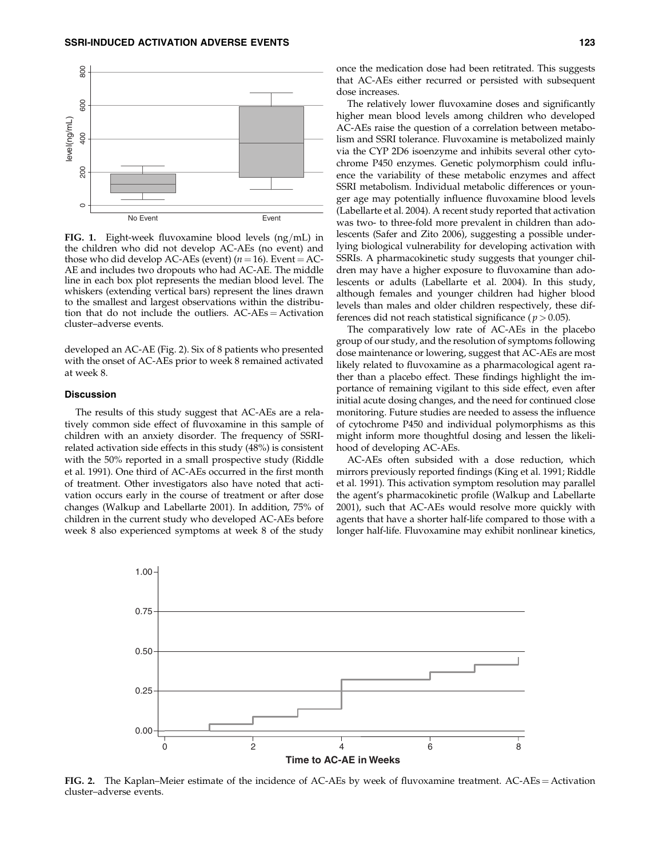

FIG. 1. Eight-week fluvoxamine blood levels  $(ng/mL)$  in the children who did not develop AC-AEs (no event) and those who did develop AC-AEs (event)  $(n = 16)$ . Event = AC-AE and includes two dropouts who had AC-AE. The middle line in each box plot represents the median blood level. The whiskers (extending vertical bars) represent the lines drawn to the smallest and largest observations within the distribution that do not include the outliers.  $AC-AEs = Activation$ cluster–adverse events.

developed an AC-AE (Fig. 2). Six of 8 patients who presented with the onset of AC-AEs prior to week 8 remained activated at week 8.

## Discussion

The results of this study suggest that AC-AEs are a relatively common side effect of fluvoxamine in this sample of children with an anxiety disorder. The frequency of SSRIrelated activation side effects in this study (48%) is consistent with the 50% reported in a small prospective study (Riddle et al. 1991). One third of AC-AEs occurred in the first month of treatment. Other investigators also have noted that activation occurs early in the course of treatment or after dose changes (Walkup and Labellarte 2001). In addition, 75% of children in the current study who developed AC-AEs before week 8 also experienced symptoms at week 8 of the study

once the medication dose had been retitrated. This suggests that AC-AEs either recurred or persisted with subsequent dose increases.

The relatively lower fluvoxamine doses and significantly higher mean blood levels among children who developed AC-AEs raise the question of a correlation between metabolism and SSRI tolerance. Fluvoxamine is metabolized mainly via the CYP 2D6 isoenzyme and inhibits several other cytochrome P450 enzymes. Genetic polymorphism could influence the variability of these metabolic enzymes and affect SSRI metabolism. Individual metabolic differences or younger age may potentially influence fluvoxamine blood levels (Labellarte et al. 2004). A recent study reported that activation was two- to three-fold more prevalent in children than adolescents (Safer and Zito 2006), suggesting a possible underlying biological vulnerability for developing activation with SSRIs. A pharmacokinetic study suggests that younger children may have a higher exposure to fluvoxamine than adolescents or adults (Labellarte et al. 2004). In this study, although females and younger children had higher blood levels than males and older children respectively, these differences did not reach statistical significance ( $p > 0.05$ ).

The comparatively low rate of AC-AEs in the placebo group of our study, and the resolution of symptoms following dose maintenance or lowering, suggest that AC-AEs are most likely related to fluvoxamine as a pharmacological agent rather than a placebo effect. These findings highlight the importance of remaining vigilant to this side effect, even after initial acute dosing changes, and the need for continued close monitoring. Future studies are needed to assess the influence of cytochrome P450 and individual polymorphisms as this might inform more thoughtful dosing and lessen the likelihood of developing AC-AEs.

AC-AEs often subsided with a dose reduction, which mirrors previously reported findings (King et al. 1991; Riddle et al. 1991). This activation symptom resolution may parallel the agent's pharmacokinetic profile (Walkup and Labellarte 2001), such that AC-AEs would resolve more quickly with agents that have a shorter half-life compared to those with a longer half-life. Fluvoxamine may exhibit nonlinear kinetics,



FIG. 2. The Kaplan–Meier estimate of the incidence of AC-AEs by week of fluvoxamine treatment. AC-AEs = Activation cluster–adverse events.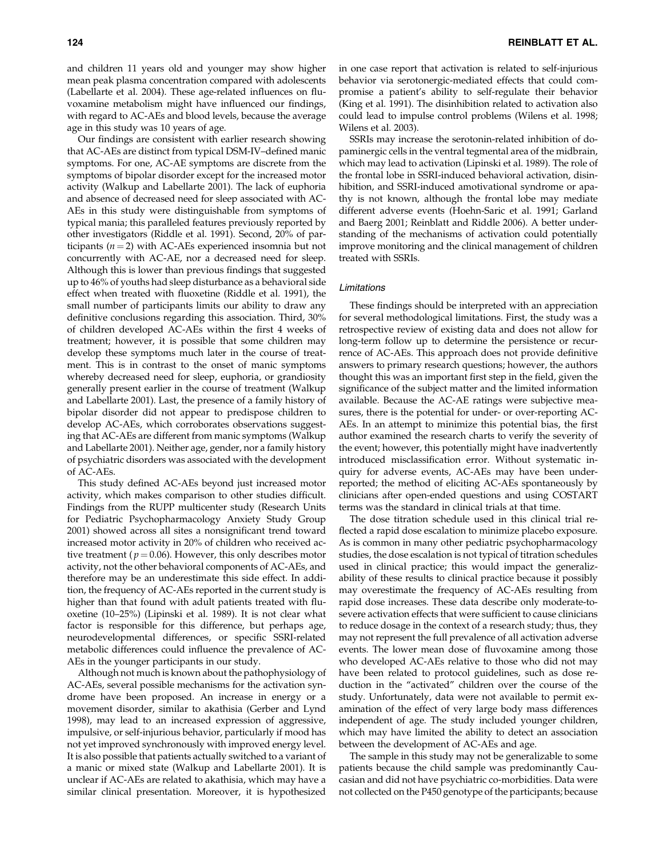and children 11 years old and younger may show higher mean peak plasma concentration compared with adolescents (Labellarte et al. 2004). These age-related influences on fluvoxamine metabolism might have influenced our findings, with regard to AC-AEs and blood levels, because the average age in this study was 10 years of age.

Our findings are consistent with earlier research showing that AC-AEs are distinct from typical DSM-IV–defined manic symptoms. For one, AC-AE symptoms are discrete from the symptoms of bipolar disorder except for the increased motor activity (Walkup and Labellarte 2001). The lack of euphoria and absence of decreased need for sleep associated with AC-AEs in this study were distinguishable from symptoms of typical mania; this paralleled features previously reported by other investigators (Riddle et al. 1991). Second, 20% of participants ( $n = 2$ ) with AC-AEs experienced insomnia but not concurrently with AC-AE, nor a decreased need for sleep. Although this is lower than previous findings that suggested up to 46% of youths had sleep disturbance as a behavioral side effect when treated with fluoxetine (Riddle et al. 1991), the small number of participants limits our ability to draw any definitive conclusions regarding this association. Third, 30% of children developed AC-AEs within the first 4 weeks of treatment; however, it is possible that some children may develop these symptoms much later in the course of treatment. This is in contrast to the onset of manic symptoms whereby decreased need for sleep, euphoria, or grandiosity generally present earlier in the course of treatment (Walkup and Labellarte 2001). Last, the presence of a family history of bipolar disorder did not appear to predispose children to develop AC-AEs, which corroborates observations suggesting that AC-AEs are different from manic symptoms (Walkup and Labellarte 2001). Neither age, gender, nor a family history of psychiatric disorders was associated with the development of AC-AEs.

This study defined AC-AEs beyond just increased motor activity, which makes comparison to other studies difficult. Findings from the RUPP multicenter study (Research Units for Pediatric Psychopharmacology Anxiety Study Group 2001) showed across all sites a nonsignificant trend toward increased motor activity in 20% of children who received active treatment ( $p = 0.06$ ). However, this only describes motor activity, not the other behavioral components of AC-AEs, and therefore may be an underestimate this side effect. In addition, the frequency of AC-AEs reported in the current study is higher than that found with adult patients treated with fluoxetine (10–25%) (Lipinski et al. 1989). It is not clear what factor is responsible for this difference, but perhaps age, neurodevelopmental differences, or specific SSRI-related metabolic differences could influence the prevalence of AC-AEs in the younger participants in our study.

Although not much is known about the pathophysiology of AC-AEs, several possible mechanisms for the activation syndrome have been proposed. An increase in energy or a movement disorder, similar to akathisia (Gerber and Lynd 1998), may lead to an increased expression of aggressive, impulsive, or self-injurious behavior, particularly if mood has not yet improved synchronously with improved energy level. It is also possible that patients actually switched to a variant of a manic or mixed state (Walkup and Labellarte 2001). It is unclear if AC-AEs are related to akathisia, which may have a similar clinical presentation. Moreover, it is hypothesized

in one case report that activation is related to self-injurious behavior via serotonergic-mediated effects that could compromise a patient's ability to self-regulate their behavior (King et al. 1991). The disinhibition related to activation also could lead to impulse control problems (Wilens et al. 1998; Wilens et al. 2003).

SSRIs may increase the serotonin-related inhibition of dopaminergic cells in the ventral tegmental area of the midbrain, which may lead to activation (Lipinski et al. 1989). The role of the frontal lobe in SSRI-induced behavioral activation, disinhibition, and SSRI-induced amotivational syndrome or apathy is not known, although the frontal lobe may mediate different adverse events (Hoehn-Saric et al. 1991; Garland and Baerg 2001; Reinblatt and Riddle 2006). A better understanding of the mechanisms of activation could potentially improve monitoring and the clinical management of children treated with SSRIs.

## Limitations

These findings should be interpreted with an appreciation for several methodological limitations. First, the study was a retrospective review of existing data and does not allow for long-term follow up to determine the persistence or recurrence of AC-AEs. This approach does not provide definitive answers to primary research questions; however, the authors thought this was an important first step in the field, given the significance of the subject matter and the limited information available. Because the AC-AE ratings were subjective measures, there is the potential for under- or over-reporting AC-AEs. In an attempt to minimize this potential bias, the first author examined the research charts to verify the severity of the event; however, this potentially might have inadvertently introduced misclassification error. Without systematic inquiry for adverse events, AC-AEs may have been underreported; the method of eliciting AC-AEs spontaneously by clinicians after open-ended questions and using COSTART terms was the standard in clinical trials at that time.

The dose titration schedule used in this clinical trial reflected a rapid dose escalation to minimize placebo exposure. As is common in many other pediatric psychopharmacology studies, the dose escalation is not typical of titration schedules used in clinical practice; this would impact the generalizability of these results to clinical practice because it possibly may overestimate the frequency of AC-AEs resulting from rapid dose increases. These data describe only moderate-tosevere activation effects that were sufficient to cause clinicians to reduce dosage in the context of a research study; thus, they may not represent the full prevalence of all activation adverse events. The lower mean dose of fluvoxamine among those who developed AC-AEs relative to those who did not may have been related to protocol guidelines, such as dose reduction in the ''activated'' children over the course of the study. Unfortunately, data were not available to permit examination of the effect of very large body mass differences independent of age. The study included younger children, which may have limited the ability to detect an association between the development of AC-AEs and age.

The sample in this study may not be generalizable to some patients because the child sample was predominantly Caucasian and did not have psychiatric co-morbidities. Data were not collected on the P450 genotype of the participants; because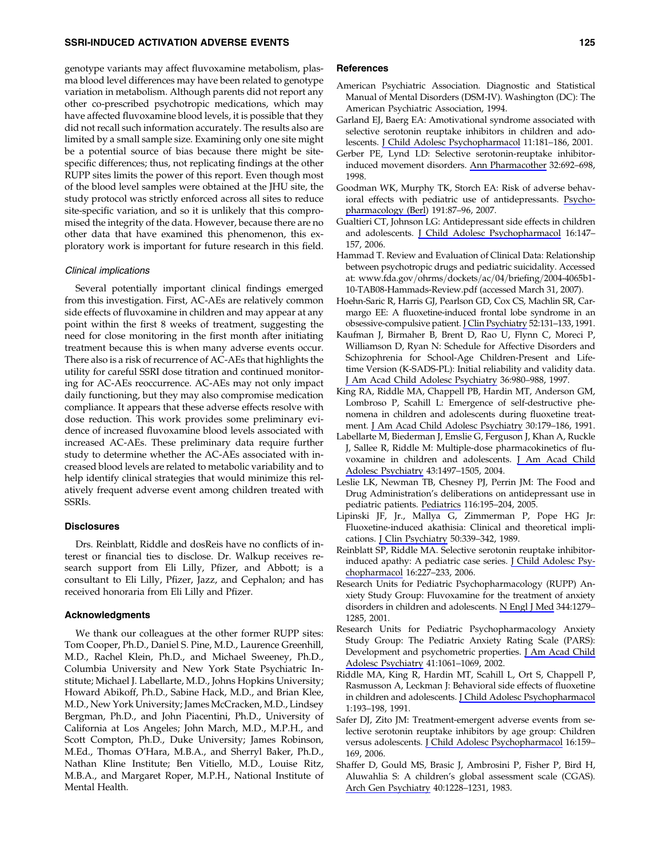## SSRI-INDUCED ACTIVATION ADVERSE EVENTS 125

genotype variants may affect fluvoxamine metabolism, plasma blood level differences may have been related to genotype variation in metabolism. Although parents did not report any other co-prescribed psychotropic medications, which may have affected fluvoxamine blood levels, it is possible that they did not recall such information accurately. The results also are limited by a small sample size. Examining only one site might be a potential source of bias because there might be sitespecific differences; thus, not replicating findings at the other RUPP sites limits the power of this report. Even though most of the blood level samples were obtained at the JHU site, the study protocol was strictly enforced across all sites to reduce site-specific variation, and so it is unlikely that this compromised the integrity of the data. However, because there are no other data that have examined this phenomenon, this exploratory work is important for future research in this field.

## Clinical implications

Several potentially important clinical findings emerged from this investigation. First, AC-AEs are relatively common side effects of fluvoxamine in children and may appear at any point within the first 8 weeks of treatment, suggesting the need for close monitoring in the first month after initiating treatment because this is when many adverse events occur. There also is a risk of recurrence of AC-AEs that highlights the utility for careful SSRI dose titration and continued monitoring for AC-AEs reoccurrence. AC-AEs may not only impact daily functioning, but they may also compromise medication compliance. It appears that these adverse effects resolve with dose reduction. This work provides some preliminary evidence of increased fluvoxamine blood levels associated with increased AC-AEs. These preliminary data require further study to determine whether the AC-AEs associated with increased blood levels are related to metabolic variability and to help identify clinical strategies that would minimize this relatively frequent adverse event among children treated with SSRIs.

## **Disclosures**

Drs. Reinblatt, Riddle and dosReis have no conflicts of interest or financial ties to disclose. Dr. Walkup receives research support from Eli Lilly, Pfizer, and Abbott; is a consultant to Eli Lilly, Pfizer, Jazz, and Cephalon; and has received honoraria from Eli Lilly and Pfizer.

#### Acknowledgments

We thank our colleagues at the other former RUPP sites: Tom Cooper, Ph.D., Daniel S. Pine, M.D., Laurence Greenhill, M.D., Rachel Klein, Ph.D., and Michael Sweeney, Ph.D., Columbia University and New York State Psychiatric Institute; Michael J. Labellarte, M.D., Johns Hopkins University; Howard Abikoff, Ph.D., Sabine Hack, M.D., and Brian Klee, M.D., New York University; James McCracken, M.D., Lindsey Bergman, Ph.D., and John Piacentini, Ph.D., University of California at Los Angeles; John March, M.D., M.P.H., and Scott Compton, Ph.D., Duke University; James Robinson, M.Ed., Thomas O'Hara, M.B.A., and Sherryl Baker, Ph.D., Nathan Kline Institute; Ben Vitiello, M.D., Louise Ritz, M.B.A., and Margaret Roper, M.P.H., National Institute of Mental Health.

## **References**

- American Psychiatric Association. Diagnostic and Statistical Manual of Mental Disorders (DSM-IV). Washington (DC): The American Psychiatric Association, 1994.
- Garland EJ, Baerg EA: Amotivational syndrome associated with selective serotonin reuptake inhibitors in children and adolescents. J Child Adolesc Psychopharmacol 11:181–186, 2001.
- Gerber PE, Lynd LD: Selective serotonin-reuptake inhibitorinduced movement disorders. Ann Pharmacother 32:692–698, 1998.
- Goodman WK, Murphy TK, Storch EA: Risk of adverse behavioral effects with pediatric use of antidepressants. Psychopharmacology (Berl) 191:87–96, 2007.
- Gualtieri CT, Johnson LG: Antidepressant side effects in children and adolescents. J Child Adolesc Psychopharmacol 16:147– 157, 2006.
- Hammad T. Review and Evaluation of Clinical Data: Relationship between psychotropic drugs and pediatric suicidality. Accessed at: www.fda.gov/ohrms/dockets/ac/04/briefing/2004-4065b1-10-TAB08-Hammads-Review.pdf (accessed March 31, 2007).
- Hoehn-Saric R, Harris GJ, Pearlson GD, Cox CS, Machlin SR, Carmargo EE: A fluoxetine-induced frontal lobe syndrome in an obsessive-compulsive patient. J Clin Psychiatry 52:131–133, 1991.
- Kaufman J, Birmaher B, Brent D, Rao U, Flynn C, Moreci P, Williamson D, Ryan N: Schedule for Affective Disorders and Schizophrenia for School-Age Children-Present and Lifetime Version (K-SADS-PL): Initial reliability and validity data. J Am Acad Child Adolesc Psychiatry 36:980–988, 1997.
- King RA, Riddle MA, Chappell PB, Hardin MT, Anderson GM, Lombroso P, Scahill L: Emergence of self-destructive phenomena in children and adolescents during fluoxetine treatment. J Am Acad Child Adolesc Psychiatry 30:179–186, 1991.
- Labellarte M, Biederman J, Emslie G, Ferguson J, Khan A, Ruckle J, Sallee R, Riddle M: Multiple-dose pharmacokinetics of fluvoxamine in children and adolescents. J Am Acad Child Adolesc Psychiatry 43:1497–1505, 2004.
- Leslie LK, Newman TB, Chesney PJ, Perrin JM: The Food and Drug Administration's deliberations on antidepressant use in pediatric patients. Pediatrics 116:195–204, 2005.
- Lipinski JF, Jr., Mallya G, Zimmerman P, Pope HG Jr: Fluoxetine-induced akathisia: Clinical and theoretical implications. J Clin Psychiatry 50:339–342, 1989.
- Reinblatt SP, Riddle MA. Selective serotonin reuptake inhibitorinduced apathy: A pediatric case series. J Child Adolesc Psychopharmacol 16:227–233, 2006.
- Research Units for Pediatric Psychopharmacology (RUPP) Anxiety Study Group: Fluvoxamine for the treatment of anxiety disorders in children and adolescents. N Engl J Med 344:1279– 1285, 2001.
- Research Units for Pediatric Psychopharmacology Anxiety Study Group: The Pediatric Anxiety Rating Scale (PARS): Development and psychometric properties. J Am Acad Child Adolesc Psychiatry 41:1061–1069, 2002.
- Riddle MA, King R, Hardin MT, Scahill L, Ort S, Chappell P, Rasmusson A, Leckman J: Behavioral side effects of fluoxetine in children and adolescents. J Child Adolesc Psychopharmacol 1:193–198, 1991.
- Safer DJ, Zito JM: Treatment-emergent adverse events from selective serotonin reuptake inhibitors by age group: Children versus adolescents. J Child Adolesc Psychopharmacol 16:159– 169, 2006.
- Shaffer D, Gould MS, Brasic J, Ambrosini P, Fisher P, Bird H, Aluwahlia S: A children's global assessment scale (CGAS). Arch Gen Psychiatry 40:1228–1231, 1983.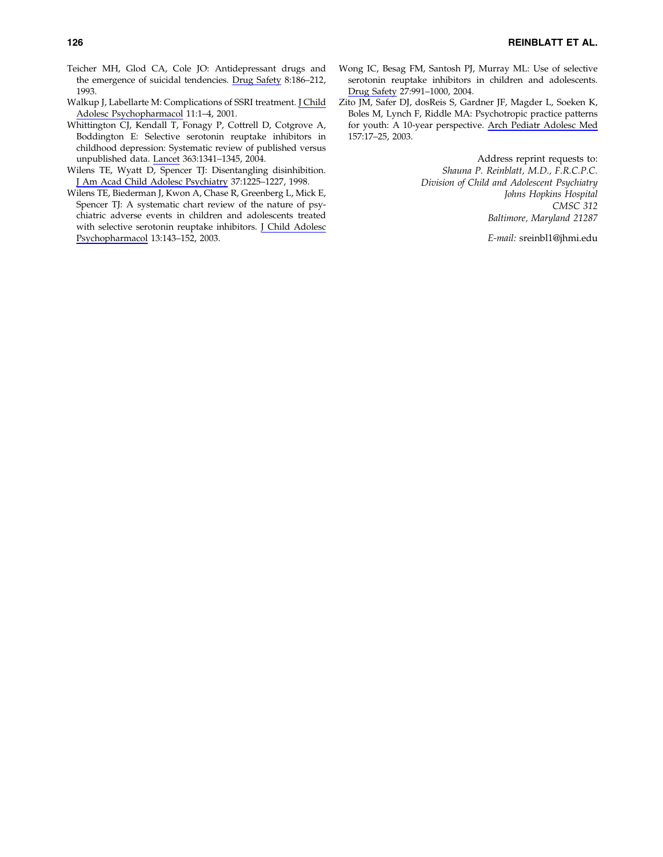- Teicher MH, Glod CA, Cole JO: Antidepressant drugs and the emergence of suicidal tendencies. Drug Safety 8:186–212, 1993.
- Walkup J, Labellarte M: Complications of SSRI treatment. J Child Adolesc Psychopharmacol 11:1–4, 2001.
- Whittington CJ, Kendall T, Fonagy P, Cottrell D, Cotgrove A, Boddington E: Selective serotonin reuptake inhibitors in childhood depression: Systematic review of published versus unpublished data. Lancet 363:1341–1345, 2004.
- Wilens TE, Wyatt D, Spencer TJ: Disentangling disinhibition. J Am Acad Child Adolesc Psychiatry 37:1225–1227, 1998.
- Wilens TE, Biederman J, Kwon A, Chase R, Greenberg L, Mick E, Spencer TJ: A systematic chart review of the nature of psychiatric adverse events in children and adolescents treated with selective serotonin reuptake inhibitors. J Child Adolesc Psychopharmacol 13:143–152, 2003.
- Wong IC, Besag FM, Santosh PJ, Murray ML: Use of selective serotonin reuptake inhibitors in children and adolescents. Drug Safety 27:991–1000, 2004.
- Zito JM, Safer DJ, dosReis S, Gardner JF, Magder L, Soeken K, Boles M, Lynch F, Riddle MA: Psychotropic practice patterns for youth: A 10-year perspective. Arch Pediatr Adolesc Med 157:17–25, 2003.

Address reprint requests to: Shauna P. Reinblatt, M.D., F.R.C.P.C. Division of Child and Adolescent Psychiatry Johns Hopkins Hospital CMSC 312 Baltimore, Maryland 21287

E-mail: sreinbl1@jhmi.edu